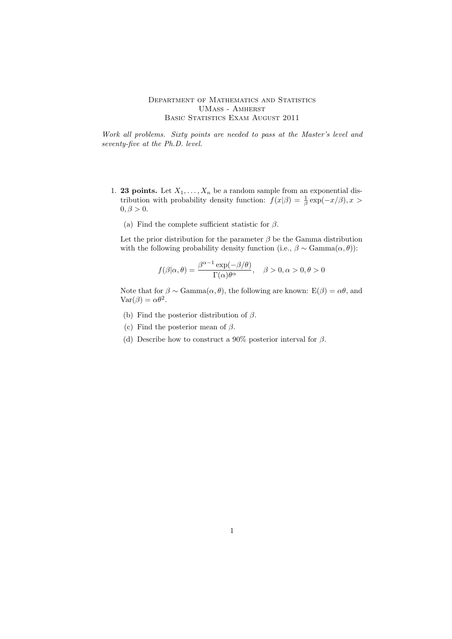## DEPARTMENT OF MATHEMATICS AND STATISTICS UMass - Amherst BASIC STATISTICS EXAM AUGUST 2011

Work all problems. Sixty points are needed to pass at the Master's level and seventy-five at the Ph.D. level.

- 1. **23 points.** Let  $X_1, \ldots, X_n$  be a random sample from an exponential distribution with probability density function:  $f(x|\beta) = \frac{1}{\beta} \exp(-x/\beta), x >$  $0, \beta > 0.$ 
	- (a) Find the complete sufficient statistic for  $\beta$ .

Let the prior distribution for the parameter  $\beta$  be the Gamma distribution with the following probability density function (i.e.,  $\beta \sim \text{Gamma}(\alpha, \theta)$ ):

$$
f(\beta|\alpha,\theta) = \frac{\beta^{\alpha-1} \exp(-\beta/\theta)}{\Gamma(\alpha)\theta^{\alpha}}, \quad \beta > 0, \alpha > 0, \theta > 0
$$

Note that for  $\beta \sim \text{Gamma}(\alpha, \theta)$ , the following are known:  $E(\beta) = \alpha \theta$ , and  $\text{Var}(\beta) = \alpha \theta^2$ .

- (b) Find the posterior distribution of  $\beta$ .
- (c) Find the posterior mean of  $\beta$ .
- (d) Describe how to construct a 90% posterior interval for  $\beta$ .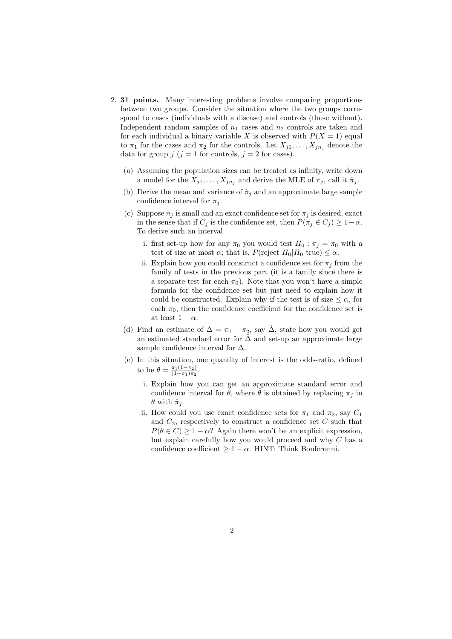- 2. 31 points. Many interesting problems involve comparing proportions between two groups. Consider the situation where the two groups correspond to cases (individuals with a disease) and controls (those without). Independent random samples of  $n_1$  cases and  $n_2$  controls are taken and for each individual a binary variable X is observed with  $P(X = 1)$  equal to  $\pi_1$  for the cases and  $\pi_2$  for the controls. Let  $X_{i1}, \ldots, X_{in_i}$  denote the data for group  $j$   $(j = 1$  for controls,  $j = 2$  for cases).
	- (a) Assuming the population sizes can be treated as infinity, write down a model for the  $X_{j1}, \ldots, X_{jn_j}$  and derive the MLE of  $\pi_j$ , call it  $\hat{\pi}_j$ .
	- (b) Derive the mean and variance of  $\hat{\pi}_i$  and an approximate large sample confidence interval for  $\pi_i$ .
	- (c) Suppose  $n_i$  is small and an exact confidence set for  $\pi_i$  is desired, exact in the sense that if  $C_j$  is the confidence set, then  $P(\pi_j \in C_j) \geq 1-\alpha$ . To derive such an interval
		- i. first set-up how for any  $\pi_0$  you would test  $H_0 : \pi_j = \pi_0$  with a test of size at most  $\alpha$ ; that is,  $P(\text{reject } H_0|H_0 \text{ true}) \leq \alpha$ .
		- ii. Explain how you could construct a confidence set for  $\pi_i$  from the family of tests in the previous part (it is a family since there is a separate test for each  $\pi_0$ ). Note that you won't have a simple formula for the confidence set but just need to explain how it could be constructed. Explain why if the test is of size  $\leq \alpha$ , for each  $\pi_0$ , then the confidence coefficient for the confidence set is at least  $1 - \alpha$ .
	- (d) Find an estimate of  $\Delta = \pi_1 \pi_2$ , say  $\hat{\Delta}$ , state how you would get an estimated standard error for  $\hat{\Delta}$  and set-up an approximate large sample confidence interval for  $\Delta$ .
	- (e) In this situation, one quantity of interest is the odds-ratio, defined to be  $\theta = \frac{\pi_1(1-\pi_2)}{(1-\pi_1)\pi_2}$  $\frac{\pi_1(1-\pi_2)}{(1-\pi_1)\pi_2}$ .
		- i. Explain how you can get an approximate standard error and confidence interval for  $\hat{\theta}$ , where  $\hat{\theta}$  is obtained by replacing  $\pi_i$  in  $\theta$  with  $\hat{\pi}_i$
		- ii. How could you use exact confidence sets for  $\pi_1$  and  $\pi_2$ , say  $C_1$ and  $C_2$ , respectively to construct a confidence set  $C$  such that  $P(\theta \in C) \geq 1 - \alpha$ ? Again there won't be an explicit expression, but explain carefully how you would proceed and why C has a confidence coefficient  $> 1 - \alpha$ . HINT: Think Bonferonni.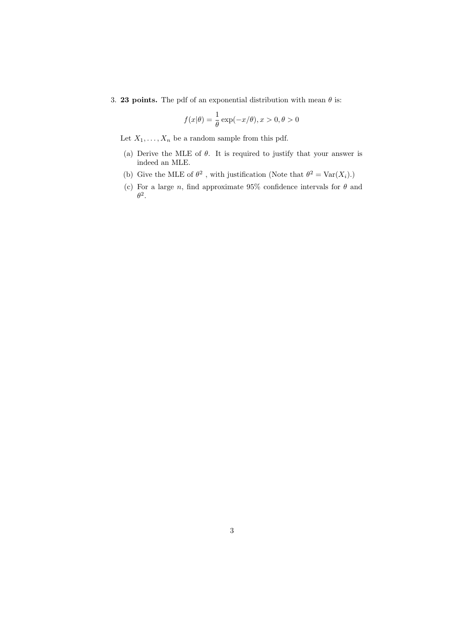3. **23 points.** The pdf of an exponential distribution with mean  $\theta$  is:

$$
f(x|\theta) = \frac{1}{\theta} \exp(-x/\theta), x > 0, \theta > 0
$$

Let  $X_1, \ldots, X_n$  be a random sample from this pdf.

- (a) Derive the MLE of  $\theta$ . It is required to justify that your answer is indeed an MLE.
- (b) Give the MLE of  $\theta^2$ , with justification (Note that  $\theta^2 = \text{Var}(X_i)$ .)
- (c) For a large n, find approximate 95% confidence intervals for  $\theta$  and  $\theta^2$ .